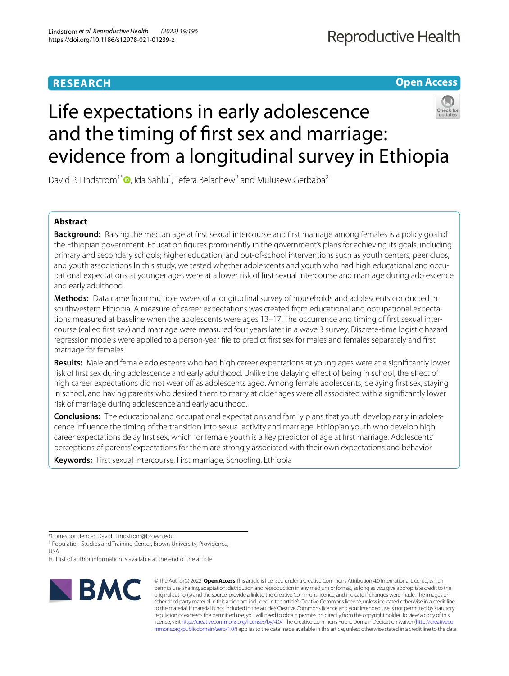# **RESEARCH**

**Open Access**

# Life expectations in early adolescence and the timing of frst sex and marriage: evidence from a longitudinal survey in Ethiopia

David P. Lindstrom<sup>1\*</sup><sup>D</sup>[,](http://orcid.org/0000-0003-4453-3506) Ida Sahlu<sup>1</sup>, Tefera Belachew<sup>2</sup> and Mulusew Gerbaba<sup>2</sup>

# **Abstract**

**Background:** Raising the median age at first sexual intercourse and first marriage among females is a policy goal of the Ethiopian government. Education fgures prominently in the government's plans for achieving its goals, including primary and secondary schools; higher education; and out-of-school interventions such as youth centers, peer clubs, and youth associations In this study, we tested whether adolescents and youth who had high educational and occupational expectations at younger ages were at a lower risk of frst sexual intercourse and marriage during adolescence and early adulthood.

**Methods:** Data came from multiple waves of a longitudinal survey of households and adolescents conducted in southwestern Ethiopia. A measure of career expectations was created from educational and occupational expectations measured at baseline when the adolescents were ages 13–17. The occurrence and timing of frst sexual intercourse (called frst sex) and marriage were measured four years later in a wave 3 survey. Discrete-time logistic hazard regression models were applied to a person-year fle to predict frst sex for males and females separately and frst marriage for females.

**Results:** Male and female adolescents who had high career expectations at young ages were at a signifcantly lower risk of frst sex during adolescence and early adulthood. Unlike the delaying efect of being in school, the efect of high career expectations did not wear off as adolescents aged. Among female adolescents, delaying first sex, staying in school, and having parents who desired them to marry at older ages were all associated with a signifcantly lower risk of marriage during adolescence and early adulthood.

**Conclusions:** The educational and occupational expectations and family plans that youth develop early in adolescence infuence the timing of the transition into sexual activity and marriage. Ethiopian youth who develop high career expectations delay frst sex, which for female youth is a key predictor of age at frst marriage. Adolescents' perceptions of parents' expectations for them are strongly associated with their own expectations and behavior.

**Keywords:** First sexual intercourse, First marriage, Schooling, Ethiopia

Full list of author information is available at the end of the article



© The Author(s) 2022. **Open Access** This article is licensed under a Creative Commons Attribution 4.0 International License, which permits use, sharing, adaptation, distribution and reproduction in any medium or format, as long as you give appropriate credit to the original author(s) and the source, provide a link to the Creative Commons licence, and indicate if changes were made. The images or other third party material in this article are included in the article's Creative Commons licence, unless indicated otherwise in a credit line to the material. If material is not included in the article's Creative Commons licence and your intended use is not permitted by statutory regulation or exceeds the permitted use, you will need to obtain permission directly from the copyright holder. To view a copy of this licence, visit [http://creativecommons.org/licenses/by/4.0/.](http://creativecommons.org/licenses/by/4.0/) The Creative Commons Public Domain Dedication waiver ([http://creativeco](http://creativecommons.org/publicdomain/zero/1.0/) [mmons.org/publicdomain/zero/1.0/](http://creativecommons.org/publicdomain/zero/1.0/)) applies to the data made available in this article, unless otherwise stated in a credit line to the data.

<sup>\*</sup>Correspondence: David\_Lindstrom@brown.edu

<sup>&</sup>lt;sup>1</sup> Population Studies and Training Center, Brown University, Providence, USA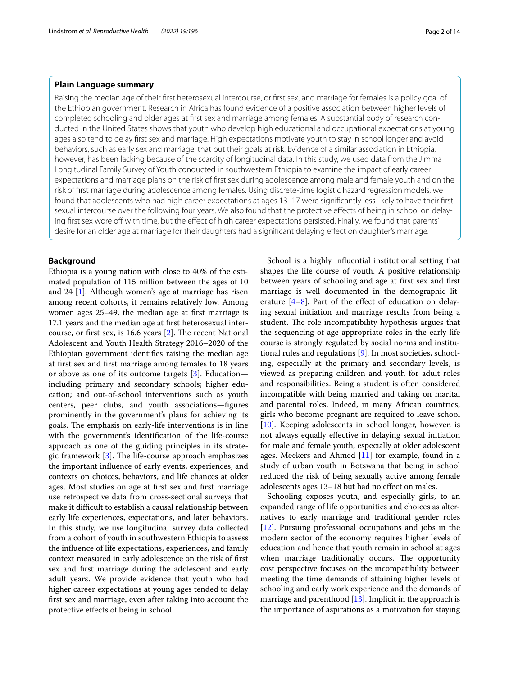# **Plain Language summary**

Raising the median age of their frst heterosexual intercourse, or frst sex, and marriage for females is a policy goal of the Ethiopian government. Research in Africa has found evidence of a positive association between higher levels of completed schooling and older ages at frst sex and marriage among females. A substantial body of research conducted in the United States shows that youth who develop high educational and occupational expectations at young ages also tend to delay frst sex and marriage. High expectations motivate youth to stay in school longer and avoid behaviors, such as early sex and marriage, that put their goals at risk. Evidence of a similar association in Ethiopia, however, has been lacking because of the scarcity of longitudinal data. In this study, we used data from the Jimma Longitudinal Family Survey of Youth conducted in southwestern Ethiopia to examine the impact of early career expectations and marriage plans on the risk of frst sex during adolescence among male and female youth and on the risk of frst marriage during adolescence among females. Using discrete-time logistic hazard regression models, we found that adolescents who had high career expectations at ages 13–17 were signifcantly less likely to have their frst sexual intercourse over the following four years. We also found that the protective effects of being in school on delaying first sex wore off with time, but the effect of high career expectations persisted. Finally, we found that parents' desire for an older age at marriage for their daughters had a signifcant delaying efect on daughter's marriage.

# **Background**

Ethiopia is a young nation with close to 40% of the estimated population of 115 million between the ages of 10 and 24 [[1](#page-12-0)]. Although women's age at marriage has risen among recent cohorts, it remains relatively low. Among women ages 25–49, the median age at frst marriage is 17.1 years and the median age at frst heterosexual intercourse, or first sex, is 16.6 years  $[2]$  $[2]$ . The recent National Adolescent and Youth Health Strategy 2016–2020 of the Ethiopian government identifes raising the median age at frst sex and frst marriage among females to 18 years or above as one of its outcome targets [\[3\]](#page-12-2). Education including primary and secondary schools; higher education; and out-of-school interventions such as youth centers, peer clubs, and youth associations—fgures prominently in the government's plans for achieving its goals. The emphasis on early-life interventions is in line with the government's identifcation of the life-course approach as one of the guiding principles in its strate-gic framework [\[3](#page-12-2)]. The life-course approach emphasizes the important infuence of early events, experiences, and contexts on choices, behaviors, and life chances at older ages. Most studies on age at frst sex and frst marriage use retrospective data from cross-sectional surveys that make it difficult to establish a causal relationship between early life experiences, expectations, and later behaviors. In this study, we use longitudinal survey data collected from a cohort of youth in southwestern Ethiopia to assess the infuence of life expectations, experiences, and family context measured in early adolescence on the risk of frst sex and frst marriage during the adolescent and early adult years. We provide evidence that youth who had higher career expectations at young ages tended to delay frst sex and marriage, even after taking into account the protective efects of being in school.

School is a highly infuential institutional setting that shapes the life course of youth. A positive relationship between years of schooling and age at frst sex and frst marriage is well documented in the demographic literature  $[4-8]$  $[4-8]$  $[4-8]$ . Part of the effect of education on delaying sexual initiation and marriage results from being a student. The role incompatibility hypothesis argues that the sequencing of age-appropriate roles in the early life course is strongly regulated by social norms and institutional rules and regulations [[9\]](#page-12-5). In most societies, schooling, especially at the primary and secondary levels, is viewed as preparing children and youth for adult roles and responsibilities. Being a student is often considered incompatible with being married and taking on marital and parental roles. Indeed, in many African countries, girls who become pregnant are required to leave school  $[10]$  $[10]$ . Keeping adolescents in school longer, however, is not always equally efective in delaying sexual initiation for male and female youth, especially at older adolescent ages. Meekers and Ahmed [[11\]](#page-12-7) for example, found in a study of urban youth in Botswana that being in school reduced the risk of being sexually active among female adolescents ages 13–18 but had no efect on males.

Schooling exposes youth, and especially girls, to an expanded range of life opportunities and choices as alternatives to early marriage and traditional gender roles [[12\]](#page-12-8). Pursuing professional occupations and jobs in the modern sector of the economy requires higher levels of education and hence that youth remain in school at ages when marriage traditionally occurs. The opportunity cost perspective focuses on the incompatibility between meeting the time demands of attaining higher levels of schooling and early work experience and the demands of marriage and parenthood  $[13]$  $[13]$ . Implicit in the approach is the importance of aspirations as a motivation for staying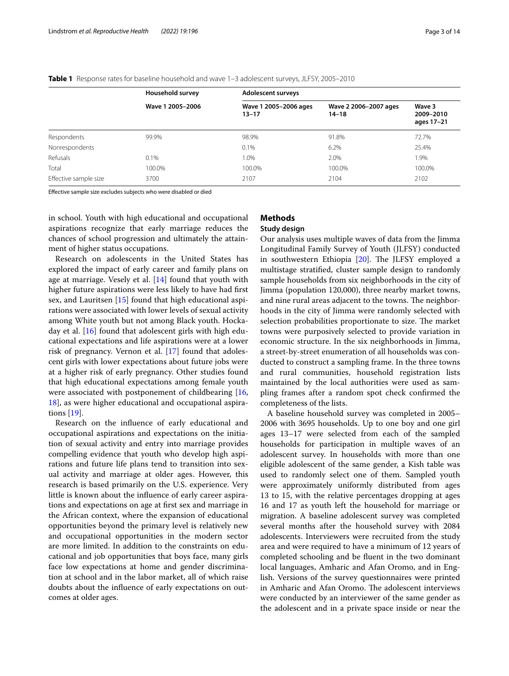|                       | Household survey | <b>Adolescent surveys</b>          |                                    |                                   |  |  |
|-----------------------|------------------|------------------------------------|------------------------------------|-----------------------------------|--|--|
|                       | Wave 1 2005-2006 | Wave 1 2005-2006 ages<br>$13 - 17$ | Wave 2 2006-2007 ages<br>$14 - 18$ | Wave 3<br>2009-2010<br>ages 17-21 |  |  |
| Respondents           | 99.9%            | 98.9%                              | 91.8%                              | 72.7%                             |  |  |
| Nonrespondents        |                  | 0.1%                               | 6.2%                               | 25.4%                             |  |  |
| Refusals              | 0.1%             | 1.0%                               | 2.0%                               | 1.9%                              |  |  |
| Total                 | 100.0%           | 100.0%                             | 100.0%                             | 100.0%                            |  |  |
| Effective sample size | 3700             | 2107                               | 2104                               | 2102                              |  |  |

<span id="page-2-0"></span>**Table 1** Response rates for baseline household and wave 1–3 adolescent surveys, JLFSY, 2005–2010

Efective sample size excludes subjects who were disabled or died

in school. Youth with high educational and occupational aspirations recognize that early marriage reduces the chances of school progression and ultimately the attainment of higher status occupations.

Research on adolescents in the United States has explored the impact of early career and family plans on age at marriage. Vesely et al. [\[14](#page-12-10)] found that youth with higher future aspirations were less likely to have had frst sex, and Lauritsen [[15\]](#page-12-11) found that high educational aspirations were associated with lower levels of sexual activity among White youth but not among Black youth. Hockaday et al. [\[16\]](#page-12-12) found that adolescent girls with high educational expectations and life aspirations were at a lower risk of pregnancy. Vernon et al. [[17\]](#page-12-13) found that adolescent girls with lower expectations about future jobs were at a higher risk of early pregnancy. Other studies found that high educational expectations among female youth were associated with postponement of childbearing [\[16](#page-12-12), [18\]](#page-12-14), as were higher educational and occupational aspirations [\[19](#page-12-15)].

Research on the infuence of early educational and occupational aspirations and expectations on the initiation of sexual activity and entry into marriage provides compelling evidence that youth who develop high aspirations and future life plans tend to transition into sexual activity and marriage at older ages. However, this research is based primarily on the U.S. experience. Very little is known about the infuence of early career aspirations and expectations on age at frst sex and marriage in the African context, where the expansion of educational opportunities beyond the primary level is relatively new and occupational opportunities in the modern sector are more limited. In addition to the constraints on educational and job opportunities that boys face, many girls face low expectations at home and gender discrimination at school and in the labor market, all of which raise doubts about the infuence of early expectations on outcomes at older ages.

# **Methods**

# **Study design**

Our analysis uses multiple waves of data from the Jimma Longitudinal Family Survey of Youth (JLFSY) conducted in southwestern Ethiopia  $[20]$  $[20]$ . The JLFSY employed a multistage stratifed, cluster sample design to randomly sample households from six neighborhoods in the city of Jimma (population 120,000), three nearby market towns, and nine rural areas adjacent to the towns. The neighborhoods in the city of Jimma were randomly selected with selection probabilities proportionate to size. The market towns were purposively selected to provide variation in economic structure. In the six neighborhoods in Jimma, a street-by-street enumeration of all households was conducted to construct a sampling frame. In the three towns and rural communities, household registration lists maintained by the local authorities were used as sampling frames after a random spot check confrmed the completeness of the lists.

A baseline household survey was completed in 2005– 2006 with 3695 households. Up to one boy and one girl ages 13–17 were selected from each of the sampled households for participation in multiple waves of an adolescent survey. In households with more than one eligible adolescent of the same gender, a Kish table was used to randomly select one of them. Sampled youth were approximately uniformly distributed from ages 13 to 15, with the relative percentages dropping at ages 16 and 17 as youth left the household for marriage or migration. A baseline adolescent survey was completed several months after the household survey with 2084 adolescents. Interviewers were recruited from the study area and were required to have a minimum of 12 years of completed schooling and be fuent in the two dominant local languages, Amharic and Afan Oromo, and in English. Versions of the survey questionnaires were printed in Amharic and Afan Oromo. The adolescent interviews were conducted by an interviewer of the same gender as the adolescent and in a private space inside or near the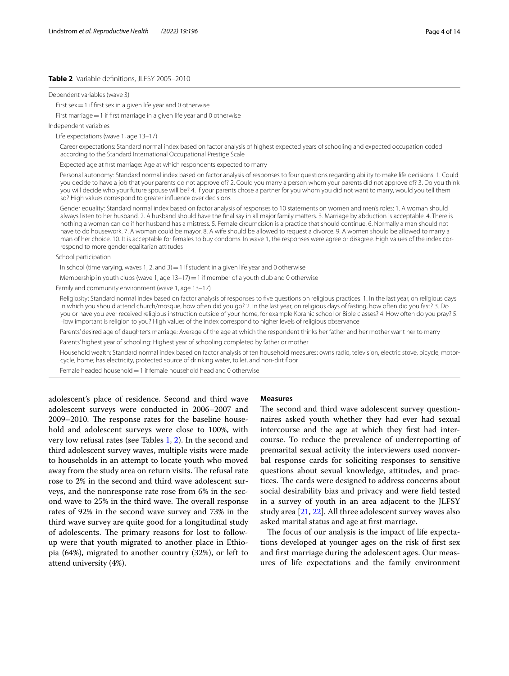# <span id="page-3-0"></span>**Table 2** Variable defnitions, JLFSY 2005–2010

Dependent variables (wave 3)

First sex  $=1$  if first sex in a given life year and 0 otherwise

First marriage = 1 if first marriage in a given life year and 0 otherwise

Independent variables

Life expectations (wave 1, age 13–17)

 Career expectations: Standard normal index based on factor analysis of highest expected years of schooling and expected occupation coded according to the Standard International Occupational Prestige Scale

Expected age at frst marriage: Age at which respondents expected to marry

 Personal autonomy: Standard normal index based on factor analysis of responses to four questions regarding ability to make life decisions: 1. Could you decide to have a job that your parents do not approve of? 2. Could you marry a person whom your parents did not approve of? 3. Do you think you will decide who your future spouse will be? 4. If your parents chose a partner for you whom you did not want to marry, would you tell them so? High values correspond to greater influence over decisions

 Gender equality: Standard normal index based on factor analysis of responses to 10 statements on women and men's roles: 1. A woman should always listen to her husband. 2. A husband should have the fnal say in all major family matters. 3. Marriage by abduction is acceptable. 4. There is nothing a woman can do if her husband has a mistress. 5. Female circumcision is a practice that should continue. 6. Normally a man should not have to do housework. 7. A woman could be mayor. 8. A wife should be allowed to request a divorce. 9. A women should be allowed to marry a man of her choice. 10. It is acceptable for females to buy condoms. In wave 1, the responses were agree or disagree. High values of the index correspond to more gender egalitarian attitudes

School participation

In school (time varying, waves 1, 2, and  $3)=1$  if student in a given life year and 0 otherwise

Membership in youth clubs (wave 1, age  $13-17$ ) = 1 if member of a youth club and 0 otherwise

Family and community environment (wave 1, age 13–17)

 Religiosity: Standard normal index based on factor analysis of responses to fve questions on religious practices: 1. In the last year, on religious days in which you should attend church/mosque, how often did you go? 2. In the last year, on religious days of fasting, how often did you fast? 3. Do you or have you ever received religious instruction outside of your home, for example Koranic school or Bible classes? 4. How often do you pray? 5. How important is religion to you? High values of the index correspond to higher levels of religious observance

Parents' desired age of daughter's marriage: Average of the age at which the respondent thinks her father and her mother want her to marry

Parents' highest year of schooling: Highest year of schooling completed by father or mother

 Household wealth: Standard normal index based on factor analysis of ten household measures: owns radio, television, electric stove, bicycle, motorcycle, home; has electricity, protected source of drinking water, toilet, and non-dirt foor

Female headed household = 1 if female household head and 0 otherwise

adolescent's place of residence. Second and third wave adolescent surveys were conducted in 2006–2007 and 2009–2010. The response rates for the baseline household and adolescent surveys were close to 100%, with very low refusal rates (see Tables [1,](#page-2-0) [2\)](#page-3-0). In the second and third adolescent survey waves, multiple visits were made to households in an attempt to locate youth who moved away from the study area on return visits. The refusal rate rose to 2% in the second and third wave adolescent surveys, and the nonresponse rate rose from 6% in the second wave to 25% in the third wave. The overall response rates of 92% in the second wave survey and 73% in the third wave survey are quite good for a longitudinal study of adolescents. The primary reasons for lost to followup were that youth migrated to another place in Ethiopia (64%), migrated to another country (32%), or left to attend university (4%).

#### **Measures**

The second and third wave adolescent survey questionnaires asked youth whether they had ever had sexual intercourse and the age at which they frst had intercourse. To reduce the prevalence of underreporting of premarital sexual activity the interviewers used nonverbal response cards for soliciting responses to sensitive questions about sexual knowledge, attitudes, and practices. The cards were designed to address concerns about social desirability bias and privacy and were feld tested in a survey of youth in an area adjacent to the JLFSY study area [[21](#page-12-17), [22\]](#page-12-18). All three adolescent survey waves also asked marital status and age at frst marriage.

The focus of our analysis is the impact of life expectations developed at younger ages on the risk of frst sex and frst marriage during the adolescent ages. Our measures of life expectations and the family environment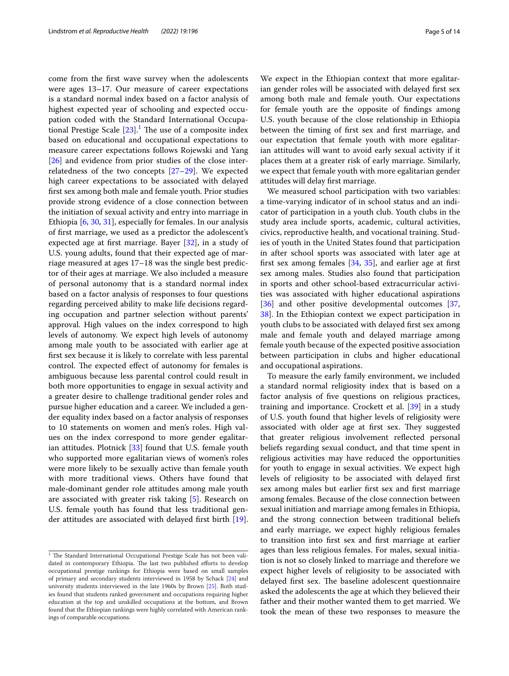come from the frst wave survey when the adolescents were ages 13–17. Our measure of career expectations is a standard normal index based on a factor analysis of highest expected year of schooling and expected occupation coded with the Standard International Occupational Prestige Scale  $[23]$  $[23]$  $[23]$ .<sup>[1](#page-4-0)</sup> The use of a composite index based on educational and occupational expectations to measure career expectations follows Rojewski and Yang [[26\]](#page-12-20) and evidence from prior studies of the close interrelatedness of the two concepts [\[27](#page-12-21)[–29\]](#page-12-22). We expected high career expectations to be associated with delayed frst sex among both male and female youth. Prior studies provide strong evidence of a close connection between the initiation of sexual activity and entry into marriage in Ethiopia [[6](#page-12-23), [30](#page-13-0), [31\]](#page-13-1), especially for females. In our analysis of frst marriage, we used as a predictor the adolescent's expected age at frst marriage. Bayer [[32\]](#page-13-2), in a study of U.S. young adults, found that their expected age of marriage measured at ages 17–18 was the single best predictor of their ages at marriage. We also included a measure of personal autonomy that is a standard normal index based on a factor analysis of responses to four questions regarding perceived ability to make life decisions regarding occupation and partner selection without parents' approval. High values on the index correspond to high levels of autonomy. We expect high levels of autonomy among male youth to be associated with earlier age at frst sex because it is likely to correlate with less parental control. The expected effect of autonomy for females is ambiguous because less parental control could result in both more opportunities to engage in sexual activity and a greater desire to challenge traditional gender roles and pursue higher education and a career. We included a gender equality index based on a factor analysis of responses to 10 statements on women and men's roles. High values on the index correspond to more gender egalitarian attitudes. Plotnick [\[33\]](#page-13-3) found that U.S. female youth who supported more egalitarian views of women's roles were more likely to be sexually active than female youth with more traditional views. Others have found that male-dominant gender role attitudes among male youth are associated with greater risk taking [\[5](#page-12-24)]. Research on U.S. female youth has found that less traditional gender attitudes are associated with delayed frst birth [\[19](#page-12-15)].

We expect in the Ethiopian context that more egalitarian gender roles will be associated with delayed frst sex among both male and female youth. Our expectations for female youth are the opposite of fndings among U.S. youth because of the close relationship in Ethiopia between the timing of frst sex and frst marriage, and our expectation that female youth with more egalitarian attitudes will want to avoid early sexual activity if it places them at a greater risk of early marriage. Similarly, we expect that female youth with more egalitarian gender attitudes will delay frst marriage.

We measured school participation with two variables: a time-varying indicator of in school status and an indicator of participation in a youth club. Youth clubs in the study area include sports, academic, cultural activities, civics, reproductive health, and vocational training. Studies of youth in the United States found that participation in after school sports was associated with later age at first sex among females  $[34, 35]$  $[34, 35]$  $[34, 35]$  $[34, 35]$  $[34, 35]$ , and earlier age at first sex among males. Studies also found that participation in sports and other school-based extracurricular activities was associated with higher educational aspirations [[36\]](#page-13-6) and other positive developmental outcomes [[37](#page-13-7), [38\]](#page-13-8). In the Ethiopian context we expect participation in youth clubs to be associated with delayed frst sex among male and female youth and delayed marriage among female youth because of the expected positive association between participation in clubs and higher educational and occupational aspirations.

To measure the early family environment, we included a standard normal religiosity index that is based on a factor analysis of fve questions on religious practices, training and importance. Crockett et al. [[39\]](#page-13-9) in a study of U.S. youth found that higher levels of religiosity were associated with older age at first sex. They suggested that greater religious involvement refected personal beliefs regarding sexual conduct, and that time spent in religious activities may have reduced the opportunities for youth to engage in sexual activities. We expect high levels of religiosity to be associated with delayed frst sex among males but earlier frst sex and frst marriage among females. Because of the close connection between sexual initiation and marriage among females in Ethiopia, and the strong connection between traditional beliefs and early marriage, we expect highly religious females to transition into frst sex and frst marriage at earlier ages than less religious females. For males, sexual initiation is not so closely linked to marriage and therefore we expect higher levels of religiosity to be associated with delayed first sex. The baseline adolescent questionnaire asked the adolescents the age at which they believed their father and their mother wanted them to get married. We took the mean of these two responses to measure the

<span id="page-4-0"></span> $1$  The Standard International Occupational Prestige Scale has not been validated in contemporary Ethiopia. The last two published efforts to develop occupational prestige rankings for Ethiopia were based on small samples of primary and secondary students interviewed in 1958 by Schack [\[24](#page-12-25)] and university students interviewed in the late 1960s by Brown [[25](#page-12-26)]. Both studies found that students ranked government and occupations requiring higher education at the top and unskilled occupations at the bottom, and Brown found that the Ethiopian rankings were highly correlated with American rankings of comparable occupations.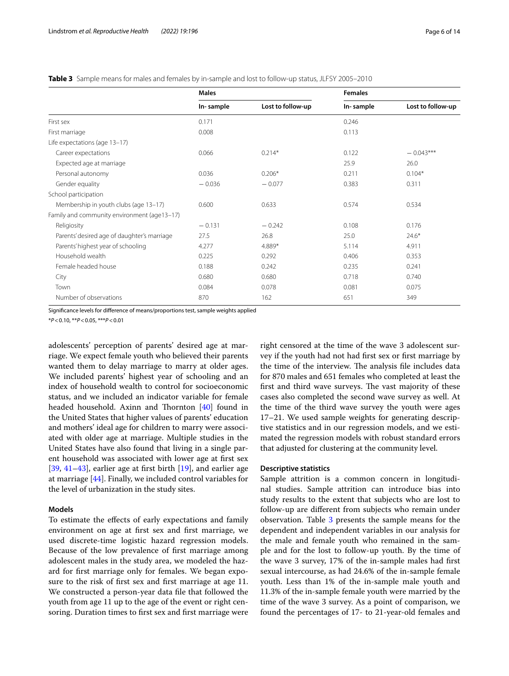<span id="page-5-0"></span>

|  |  | <b>Table 3</b> Sample means for males and females by in-sample and lost to follow-up status. JLFSY 2005–2010 |  |
|--|--|--------------------------------------------------------------------------------------------------------------|--|
|--|--|--------------------------------------------------------------------------------------------------------------|--|

|                                             | <b>Males</b> |                   | <b>Females</b> |                   |
|---------------------------------------------|--------------|-------------------|----------------|-------------------|
|                                             | In-sample    | Lost to follow-up | In-sample      | Lost to follow-up |
| First sex                                   | 0.171        |                   | 0.246          |                   |
| First marriage                              | 0.008        |                   | 0.113          |                   |
| Life expectations (age 13-17)               |              |                   |                |                   |
| Career expectations                         | 0.066        | $0.214*$          | 0.122          | $-0.043***$       |
| Expected age at marriage                    |              |                   | 25.9           | 26.0              |
| Personal autonomy                           | 0.036        | $0.206*$          | 0.211          | $0.104*$          |
| Gender equality                             | $-0.036$     | $-0.077$          | 0.383          | 0.311             |
| School participation                        |              |                   |                |                   |
| Membership in youth clubs (age 13-17)       | 0.600        | 0.633             | 0.574          | 0.534             |
| Family and community environment (age13-17) |              |                   |                |                   |
| Religiosity                                 | $-0.131$     | $-0.242$          | 0.108          | 0.176             |
| Parents' desired age of daughter's marriage | 27.5         | 26.8              | 25.0           | $24.6*$           |
| Parents' highest year of schooling          | 4.277        | 4.889*            | 5.114          | 4.911             |
| Household wealth                            | 0.225        | 0.292             | 0.406          | 0.353             |
| Female headed house                         | 0.188        | 0.242             | 0.235          | 0.241             |
| City                                        | 0.680        | 0.680             | 0.718          | 0.740             |
| Town                                        | 0.084        | 0.078             | 0.081          | 0.075             |
| Number of observations                      | 870          | 162               | 651            | 349               |

Signifcance levels for diference of means/proportions test, sample weights applied

\**P*<0.10, \*\**P*<0.05, \*\*\**P*<0.01

adolescents' perception of parents' desired age at marriage. We expect female youth who believed their parents wanted them to delay marriage to marry at older ages. We included parents' highest year of schooling and an index of household wealth to control for socioeconomic status, and we included an indicator variable for female headed household. Axinn and Thornton  $[40]$  $[40]$  found in the United States that higher values of parents' education and mothers' ideal age for children to marry were associated with older age at marriage. Multiple studies in the United States have also found that living in a single parent household was associated with lower age at frst sex  $[39, 41-43]$  $[39, 41-43]$  $[39, 41-43]$  $[39, 41-43]$ , earlier age at first birth  $[19]$  $[19]$ , and earlier age at marriage [[44](#page-13-13)]. Finally, we included control variables for the level of urbanization in the study sites.

## **Models**

To estimate the efects of early expectations and family environment on age at frst sex and frst marriage, we used discrete-time logistic hazard regression models. Because of the low prevalence of frst marriage among adolescent males in the study area, we modeled the hazard for frst marriage only for females. We began exposure to the risk of frst sex and frst marriage at age 11. We constructed a person-year data fle that followed the youth from age 11 up to the age of the event or right censoring. Duration times to first sex and first marriage were right censored at the time of the wave 3 adolescent survey if the youth had not had frst sex or frst marriage by the time of the interview. The analysis file includes data for 870 males and 651 females who completed at least the first and third wave surveys. The vast majority of these cases also completed the second wave survey as well. At the time of the third wave survey the youth were ages 17–21. We used sample weights for generating descriptive statistics and in our regression models, and we estimated the regression models with robust standard errors that adjusted for clustering at the community level.

#### **Descriptive statistics**

Sample attrition is a common concern in longitudinal studies. Sample attrition can introduce bias into study results to the extent that subjects who are lost to follow-up are diferent from subjects who remain under observation. Table [3](#page-5-0) presents the sample means for the dependent and independent variables in our analysis for the male and female youth who remained in the sample and for the lost to follow-up youth. By the time of the wave 3 survey, 17% of the in-sample males had frst sexual intercourse, as had 24.6% of the in-sample female youth. Less than 1% of the in-sample male youth and 11.3% of the in-sample female youth were married by the time of the wave 3 survey. As a point of comparison, we found the percentages of 17- to 21-year-old females and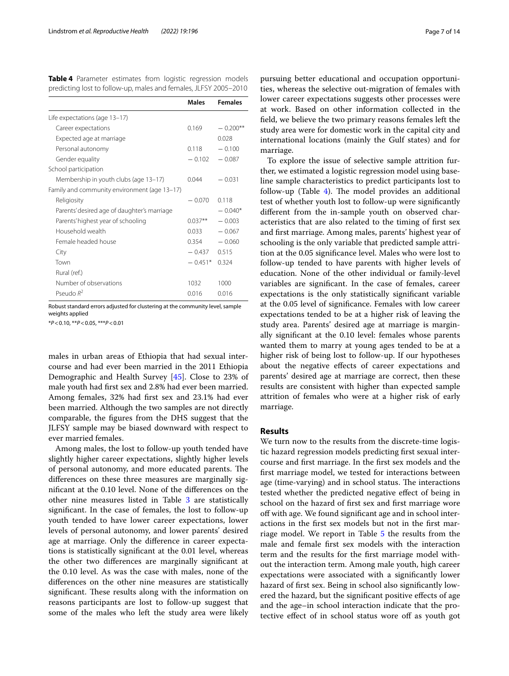<span id="page-6-0"></span>

|  |  | Table 4 Parameter estimates from logistic regression models      |  |
|--|--|------------------------------------------------------------------|--|
|  |  | predicting lost to follow-up, males and females, JLFSY 2005-2010 |  |

|                                              | Males     | <b>Females</b> |
|----------------------------------------------|-----------|----------------|
| Life expectations (age 13-17)                |           |                |
| Career expectations                          | 0.169     | $-0.200**$     |
| Expected age at marriage                     |           | 0.028          |
| Personal autonomy                            | 0.118     | $-0.100$       |
| Gender equality                              | $-0.102$  | $-0.087$       |
| School participation                         |           |                |
| Membership in youth clubs (age 13–17)        | 0.044     | $-0.031$       |
| Family and community environment (age 13-17) |           |                |
| Religiosity                                  | $-0.070$  | 0.118          |
| Parents' desired age of daughter's marriage  |           | $-0.040*$      |
| Parents' highest year of schooling           | $0.037**$ | $-0.003$       |
| Household wealth                             | 0.033     | $-0.067$       |
| Female headed house                          | 0.354     | $-0.060$       |
| City                                         | $-0.437$  | 0.515          |
| Town                                         | $-0.451*$ | 0.324          |
| Rural (ref.)                                 |           |                |
| Number of observations                       | 1032      | 1000           |
| Pseudo $R^2$                                 | 0.016     | 0016           |

Robust standard errors adjusted for clustering at the community level, sample weights applied

\**P*<0.10, \*\**P*<0.05, \*\*\**P*<0.01

males in urban areas of Ethiopia that had sexual intercourse and had ever been married in the 2011 Ethiopia Demographic and Health Survey [[45\]](#page-13-14). Close to 23% of male youth had frst sex and 2.8% had ever been married. Among females, 32% had frst sex and 23.1% had ever been married. Although the two samples are not directly comparable, the fgures from the DHS suggest that the JLFSY sample may be biased downward with respect to ever married females.

Among males, the lost to follow-up youth tended have slightly higher career expectations, slightly higher levels of personal autonomy, and more educated parents. The diferences on these three measures are marginally signifcant at the 0.10 level. None of the diferences on the other nine measures listed in Table [3](#page-5-0) are statistically signifcant. In the case of females, the lost to follow-up youth tended to have lower career expectations, lower levels of personal autonomy, and lower parents' desired age at marriage. Only the diference in career expectations is statistically signifcant at the 0.01 level, whereas the other two diferences are marginally signifcant at the 0.10 level. As was the case with males, none of the diferences on the other nine measures are statistically significant. These results along with the information on reasons participants are lost to follow-up suggest that some of the males who left the study area were likely pursuing better educational and occupation opportunities, whereas the selective out-migration of females with lower career expectations suggests other processes were at work. Based on other information collected in the feld, we believe the two primary reasons females left the study area were for domestic work in the capital city and international locations (mainly the Gulf states) and for marriage.

To explore the issue of selective sample attrition further, we estimated a logistic regression model using baseline sample characteristics to predict participants lost to follow-up (Table  $4$ ). The model provides an additional test of whether youth lost to follow-up were signifcantly diferent from the in-sample youth on observed characteristics that are also related to the timing of frst sex and frst marriage. Among males, parents' highest year of schooling is the only variable that predicted sample attrition at the 0.05 signifcance level. Males who were lost to follow-up tended to have parents with higher levels of education. None of the other individual or family-level variables are signifcant. In the case of females, career expectations is the only statistically signifcant variable at the 0.05 level of signifcance. Females with low career expectations tended to be at a higher risk of leaving the study area. Parents' desired age at marriage is marginally signifcant at the 0.10 level: females whose parents wanted them to marry at young ages tended to be at a higher risk of being lost to follow-up. If our hypotheses about the negative efects of career expectations and parents' desired age at marriage are correct, then these results are consistent with higher than expected sample attrition of females who were at a higher risk of early marriage.

## **Results**

We turn now to the results from the discrete-time logistic hazard regression models predicting frst sexual intercourse and frst marriage. In the frst sex models and the frst marriage model, we tested for interactions between age (time-varying) and in school status. The interactions tested whether the predicted negative efect of being in school on the hazard of frst sex and frst marriage wore off with age. We found significant age and in school interactions in the frst sex models but not in the frst marriage model. We report in Table [5](#page-7-0) the results from the male and female frst sex models with the interaction term and the results for the frst marriage model without the interaction term. Among male youth, high career expectations were associated with a signifcantly lower hazard of frst sex. Being in school also signifcantly lowered the hazard, but the signifcant positive efects of age and the age–in school interaction indicate that the protective effect of in school status wore off as youth got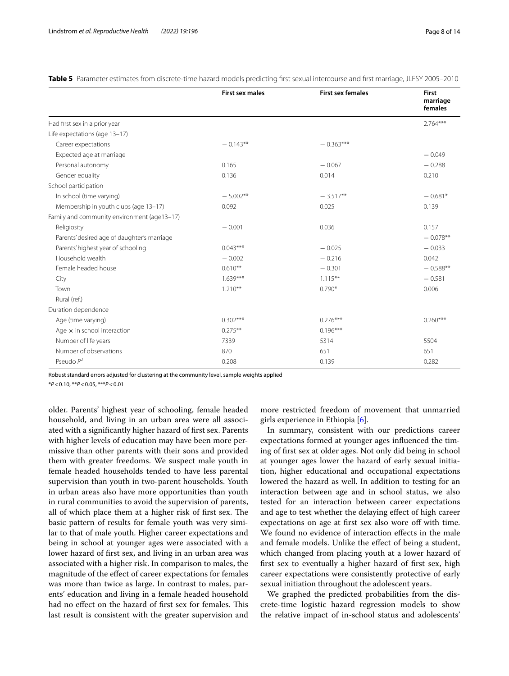|                                             | <b>First sex males</b> | <b>First sex females</b> | <b>First</b>        |
|---------------------------------------------|------------------------|--------------------------|---------------------|
|                                             |                        |                          | marriage<br>females |
| Had first sex in a prior year               |                        |                          | $2.764***$          |
| Life expectations (age 13-17)               |                        |                          |                     |
| Career expectations                         | $-0.143**$             | $-0.363***$              |                     |
| Expected age at marriage                    |                        |                          | $-0.049$            |
| Personal autonomy                           | 0.165                  | $-0.067$                 | $-0.288$            |
| Gender equality                             | 0.136                  | 0.014                    | 0.210               |
| School participation                        |                        |                          |                     |
| In school (time varying)                    | $-5.002**$             | $-3.517**$               | $-0.681*$           |
| Membership in youth clubs (age 13-17)       | 0.092                  | 0.025                    | 0.139               |
| Family and community environment (age13-17) |                        |                          |                     |
| Religiosity                                 | $-0.001$               | 0.036                    | 0.157               |
| Parents' desired age of daughter's marriage |                        |                          | $-0.078**$          |
| Parents' highest year of schooling          | $0.043***$             | $-0.025$                 | $-0.033$            |
| Household wealth                            | $-0.002$               | $-0.216$                 | 0.042               |
| Female headed house                         | $0.610**$              | $-0.301$                 | $-0.588**$          |
| City                                        | $1.639***$             | $1.115***$               | $-0.581$            |
| Town                                        | $1.210**$              | $0.790*$                 | 0.006               |
| Rural (ref.)                                |                        |                          |                     |
| Duration dependence                         |                        |                          |                     |
| Age (time varying)                          | $0.302***$             | $0.276***$               | $0.260***$          |
| Age $\times$ in school interaction          | $0.275***$             | $0.196***$               |                     |
| Number of life years                        | 7339                   | 5314                     | 5504                |
| Number of observations                      | 870                    | 651                      | 651                 |
| Pseudo $R^2$                                | 0.208                  | 0.139                    | 0.282               |

<span id="page-7-0"></span>Table 5 Parameter estimates from discrete-time hazard models predicting first sexual intercourse and first marriage, JLFSY 2005–2010

Robust standard errors adjusted for clustering at the community level, sample weights applied

\**P*<0.10, \*\**P*<0.05, \*\*\**P*<0.01

older. Parents' highest year of schooling, female headed household, and living in an urban area were all associated with a signifcantly higher hazard of frst sex. Parents with higher levels of education may have been more permissive than other parents with their sons and provided them with greater freedoms. We suspect male youth in female headed households tended to have less parental supervision than youth in two-parent households. Youth in urban areas also have more opportunities than youth in rural communities to avoid the supervision of parents, all of which place them at a higher risk of first sex. The basic pattern of results for female youth was very similar to that of male youth. Higher career expectations and being in school at younger ages were associated with a lower hazard of frst sex, and living in an urban area was associated with a higher risk. In comparison to males, the magnitude of the efect of career expectations for females was more than twice as large. In contrast to males, parents' education and living in a female headed household had no effect on the hazard of first sex for females. This last result is consistent with the greater supervision and more restricted freedom of movement that unmarried girls experience in Ethiopia [\[6\]](#page-12-23).

In summary, consistent with our predictions career expectations formed at younger ages infuenced the timing of frst sex at older ages. Not only did being in school at younger ages lower the hazard of early sexual initiation, higher educational and occupational expectations lowered the hazard as well. In addition to testing for an interaction between age and in school status, we also tested for an interaction between career expectations and age to test whether the delaying efect of high career expectations on age at first sex also wore off with time. We found no evidence of interaction effects in the male and female models. Unlike the efect of being a student, which changed from placing youth at a lower hazard of frst sex to eventually a higher hazard of frst sex, high career expectations were consistently protective of early sexual initiation throughout the adolescent years.

We graphed the predicted probabilities from the discrete-time logistic hazard regression models to show the relative impact of in-school status and adolescents'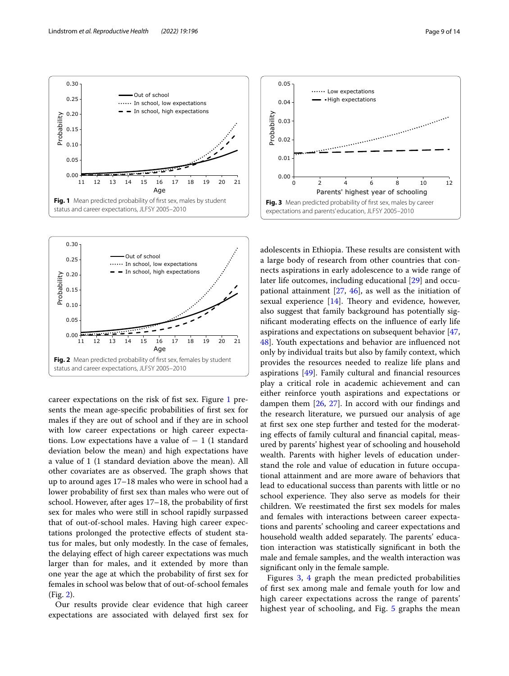

<span id="page-8-0"></span>



<span id="page-8-1"></span>career expectations on the risk of fst sex. Figure [1](#page-8-0) presents the mean age-specifc probabilities of frst sex for males if they are out of school and if they are in school with low career expectations or high career expectations. Low expectations have a value of  $-1$  (1 standard deviation below the mean) and high expectations have a value of 1 (1 standard deviation above the mean). All other covariates are as observed. The graph shows that up to around ages 17–18 males who were in school had a lower probability of frst sex than males who were out of school. However, after ages 17–18, the probability of frst sex for males who were still in school rapidly surpassed that of out-of-school males. Having high career expectations prolonged the protective efects of student status for males, but only modestly. In the case of females, the delaying efect of high career expectations was much larger than for males, and it extended by more than one year the age at which the probability of frst sex for females in school was below that of out-of-school females (Fig. [2\)](#page-8-1).

Our results provide clear evidence that high career expectations are associated with delayed frst sex for



<span id="page-8-2"></span>adolescents in Ethiopia. These results are consistent with a large body of research from other countries that connects aspirations in early adolescence to a wide range of later life outcomes, including educational [[29](#page-12-22)] and occupational attainment [\[27](#page-12-21), [46\]](#page-13-15), as well as the initiation of sexual experience  $[14]$  $[14]$ . Theory and evidence, however, also suggest that family background has potentially signifcant moderating efects on the infuence of early life aspirations and expectations on subsequent behavior [[47](#page-13-16), [48\]](#page-13-17). Youth expectations and behavior are infuenced not only by individual traits but also by family context, which provides the resources needed to realize life plans and aspirations [\[49](#page-13-18)]. Family cultural and fnancial resources play a critical role in academic achievement and can either reinforce youth aspirations and expectations or dampen them [[26](#page-12-20), [27](#page-12-21)]. In accord with our fndings and the research literature, we pursued our analysis of age at frst sex one step further and tested for the moderating efects of family cultural and fnancial capital, measured by parents' highest year of schooling and household wealth. Parents with higher levels of education understand the role and value of education in future occupational attainment and are more aware of behaviors that lead to educational success than parents with little or no school experience. They also serve as models for their children. We reestimated the frst sex models for males and females with interactions between career expectations and parents' schooling and career expectations and household wealth added separately. The parents' education interaction was statistically signifcant in both the male and female samples, and the wealth interaction was signifcant only in the female sample.

Figures [3,](#page-8-2) [4](#page-9-0) graph the mean predicted probabilities of frst sex among male and female youth for low and high career expectations across the range of parents' highest year of schooling, and Fig. [5](#page-9-1) graphs the mean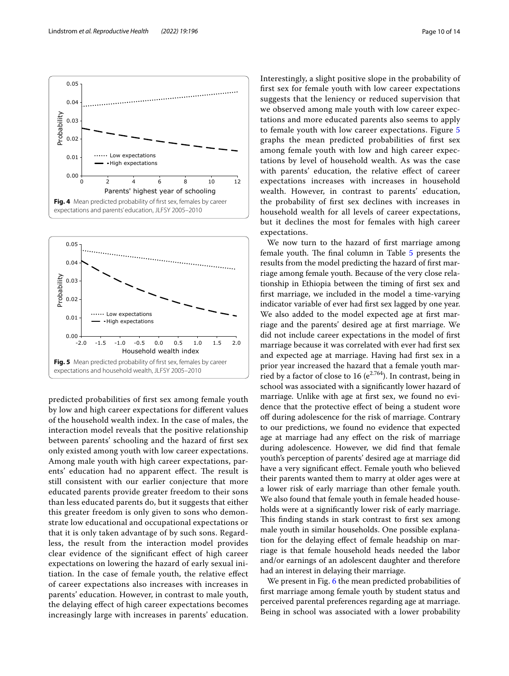

<span id="page-9-0"></span>

<span id="page-9-1"></span>predicted probabilities of frst sex among female youth by low and high career expectations for diferent values of the household wealth index. In the case of males, the interaction model reveals that the positive relationship between parents' schooling and the hazard of frst sex only existed among youth with low career expectations. Among male youth with high career expectations, parents' education had no apparent effect. The result is still consistent with our earlier conjecture that more educated parents provide greater freedom to their sons than less educated parents do, but it suggests that either this greater freedom is only given to sons who demonstrate low educational and occupational expectations or that it is only taken advantage of by such sons. Regardless, the result from the interaction model provides clear evidence of the signifcant efect of high career expectations on lowering the hazard of early sexual initiation. In the case of female youth, the relative efect of career expectations also increases with increases in parents' education. However, in contrast to male youth, the delaying efect of high career expectations becomes increasingly large with increases in parents' education. Interestingly, a slight positive slope in the probability of frst sex for female youth with low career expectations suggests that the leniency or reduced supervision that we observed among male youth with low career expectations and more educated parents also seems to apply to female youth with low career expectations. Figure [5](#page-9-1) graphs the mean predicted probabilities of frst sex among female youth with low and high career expectations by level of household wealth. As was the case with parents' education, the relative efect of career expectations increases with increases in household wealth. However, in contrast to parents' education, the probability of frst sex declines with increases in household wealth for all levels of career expectations, but it declines the most for females with high career expectations.

We now turn to the hazard of frst marriage among female youth. The final column in Table [5](#page-7-0) presents the results from the model predicting the hazard of frst marriage among female youth. Because of the very close relationship in Ethiopia between the timing of frst sex and frst marriage, we included in the model a time-varying indicator variable of ever had frst sex lagged by one year. We also added to the model expected age at frst marriage and the parents' desired age at frst marriage. We did not include career expectations in the model of frst marriage because it was correlated with ever had frst sex and expected age at marriage. Having had frst sex in a prior year increased the hazard that a female youth married by a factor of close to 16 ( $e^{2.764}$ ). In contrast, being in school was associated with a signifcantly lower hazard of marriage. Unlike with age at frst sex, we found no evidence that the protective efect of being a student wore of during adolescence for the risk of marriage. Contrary to our predictions, we found no evidence that expected age at marriage had any efect on the risk of marriage during adolescence. However, we did fnd that female youth's perception of parents' desired age at marriage did have a very signifcant efect. Female youth who believed their parents wanted them to marry at older ages were at a lower risk of early marriage than other female youth. We also found that female youth in female headed households were at a signifcantly lower risk of early marriage. This finding stands in stark contrast to first sex among male youth in similar households. One possible explanation for the delaying efect of female headship on marriage is that female household heads needed the labor and/or earnings of an adolescent daughter and therefore had an interest in delaying their marriage.

We present in Fig. [6](#page-10-0) the mean predicted probabilities of frst marriage among female youth by student status and perceived parental preferences regarding age at marriage. Being in school was associated with a lower probability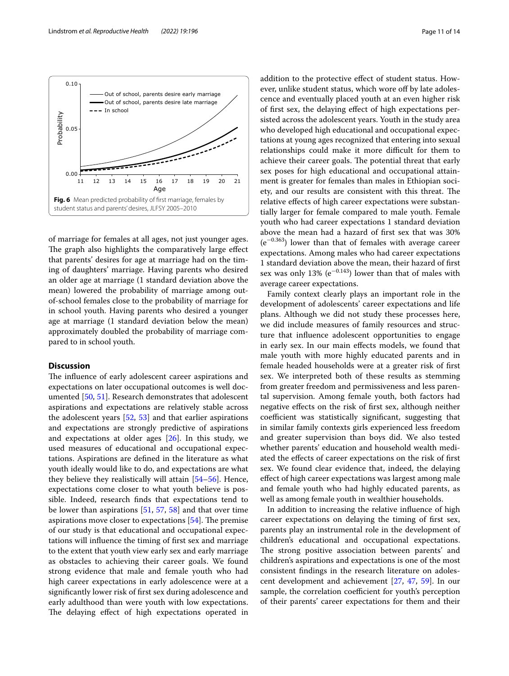

<span id="page-10-0"></span>of marriage for females at all ages, not just younger ages. The graph also highlights the comparatively large effect that parents' desires for age at marriage had on the timing of daughters' marriage. Having parents who desired an older age at marriage (1 standard deviation above the mean) lowered the probability of marriage among outof-school females close to the probability of marriage for in school youth. Having parents who desired a younger age at marriage (1 standard deviation below the mean) approximately doubled the probability of marriage compared to in school youth.

# **Discussion**

The influence of early adolescent career aspirations and expectations on later occupational outcomes is well documented [[50,](#page-13-19) [51](#page-13-20)]. Research demonstrates that adolescent aspirations and expectations are relatively stable across the adolescent years [[52,](#page-13-21) [53](#page-13-22)] and that earlier aspirations and expectations are strongly predictive of aspirations and expectations at older ages [[26\]](#page-12-20). In this study, we used measures of educational and occupational expectations. Aspirations are defned in the literature as what youth ideally would like to do, and expectations are what they believe they realistically will attain [[54–](#page-13-23)[56](#page-13-24)]. Hence, expectations come closer to what youth believe is possible. Indeed, research fnds that expectations tend to be lower than aspirations [[51](#page-13-20), [57](#page-13-25), [58\]](#page-13-26) and that over time aspirations move closer to expectations  $[54]$  $[54]$  $[54]$ . The premise of our study is that educational and occupational expectations will infuence the timing of frst sex and marriage to the extent that youth view early sex and early marriage as obstacles to achieving their career goals. We found strong evidence that male and female youth who had high career expectations in early adolescence were at a signifcantly lower risk of frst sex during adolescence and early adulthood than were youth with low expectations. The delaying effect of high expectations operated in addition to the protective efect of student status. However, unlike student status, which wore of by late adolescence and eventually placed youth at an even higher risk of frst sex, the delaying efect of high expectations persisted across the adolescent years. Youth in the study area who developed high educational and occupational expectations at young ages recognized that entering into sexual relationships could make it more difficult for them to achieve their career goals. The potential threat that early sex poses for high educational and occupational attainment is greater for females than males in Ethiopian society, and our results are consistent with this threat. The relative efects of high career expectations were substantially larger for female compared to male youth. Female youth who had career expectations 1 standard deviation above the mean had a hazard of frst sex that was 30% (e<sup>−</sup>0.363) lower than that of females with average career expectations. Among males who had career expectations 1 standard deviation above the mean, their hazard of frst sex was only 13% ( $e^{-0.143}$ ) lower than that of males with average career expectations.

Family context clearly plays an important role in the development of adolescents' career expectations and life plans. Although we did not study these processes here, we did include measures of family resources and structure that infuence adolescent opportunities to engage in early sex. In our main efects models, we found that male youth with more highly educated parents and in female headed households were at a greater risk of frst sex. We interpreted both of these results as stemming from greater freedom and permissiveness and less parental supervision. Among female youth, both factors had negative efects on the risk of frst sex, although neither coefficient was statistically significant, suggesting that in similar family contexts girls experienced less freedom and greater supervision than boys did. We also tested whether parents' education and household wealth mediated the efects of career expectations on the risk of frst sex. We found clear evidence that, indeed, the delaying efect of high career expectations was largest among male and female youth who had highly educated parents, as well as among female youth in wealthier households.

In addition to increasing the relative infuence of high career expectations on delaying the timing of frst sex, parents play an instrumental role in the development of children's educational and occupational expectations. The strong positive association between parents' and children's aspirations and expectations is one of the most consistent fndings in the research literature on adolescent development and achievement [[27,](#page-12-21) [47,](#page-13-16) [59\]](#page-13-27). In our sample, the correlation coefficient for youth's perception of their parents' career expectations for them and their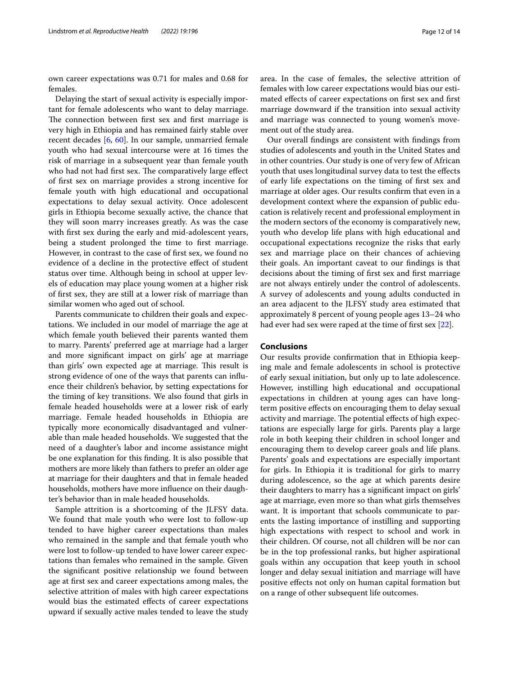own career expectations was 0.71 for males and 0.68 for females.

Delaying the start of sexual activity is especially important for female adolescents who want to delay marriage. The connection between first sex and first marriage is very high in Ethiopia and has remained fairly stable over recent decades [\[6](#page-12-23), [60\]](#page-13-28). In our sample, unmarried female youth who had sexual intercourse were at 16 times the risk of marriage in a subsequent year than female youth who had not had first sex. The comparatively large effect of frst sex on marriage provides a strong incentive for female youth with high educational and occupational expectations to delay sexual activity. Once adolescent girls in Ethiopia become sexually active, the chance that they will soon marry increases greatly. As was the case with frst sex during the early and mid-adolescent years, being a student prolonged the time to first marriage. However, in contrast to the case of frst sex, we found no evidence of a decline in the protective efect of student status over time. Although being in school at upper levels of education may place young women at a higher risk of frst sex, they are still at a lower risk of marriage than similar women who aged out of school.

Parents communicate to children their goals and expectations. We included in our model of marriage the age at which female youth believed their parents wanted them to marry. Parents' preferred age at marriage had a larger and more signifcant impact on girls' age at marriage than girls' own expected age at marriage. This result is strong evidence of one of the ways that parents can infuence their children's behavior, by setting expectations for the timing of key transitions. We also found that girls in female headed households were at a lower risk of early marriage. Female headed households in Ethiopia are typically more economically disadvantaged and vulnerable than male headed households. We suggested that the need of a daughter's labor and income assistance might be one explanation for this fnding. It is also possible that mothers are more likely than fathers to prefer an older age at marriage for their daughters and that in female headed households, mothers have more infuence on their daughter's behavior than in male headed households.

Sample attrition is a shortcoming of the JLFSY data. We found that male youth who were lost to follow-up tended to have higher career expectations than males who remained in the sample and that female youth who were lost to follow-up tended to have lower career expectations than females who remained in the sample. Given the signifcant positive relationship we found between age at frst sex and career expectations among males, the selective attrition of males with high career expectations would bias the estimated effects of career expectations upward if sexually active males tended to leave the study area. In the case of females, the selective attrition of females with low career expectations would bias our estimated efects of career expectations on frst sex and frst marriage downward if the transition into sexual activity and marriage was connected to young women's movement out of the study area.

Our overall fndings are consistent with fndings from studies of adolescents and youth in the United States and in other countries. Our study is one of very few of African youth that uses longitudinal survey data to test the efects of early life expectations on the timing of frst sex and marriage at older ages. Our results confrm that even in a development context where the expansion of public education is relatively recent and professional employment in the modern sectors of the economy is comparatively new, youth who develop life plans with high educational and occupational expectations recognize the risks that early sex and marriage place on their chances of achieving their goals. An important caveat to our fndings is that decisions about the timing of frst sex and frst marriage are not always entirely under the control of adolescents. A survey of adolescents and young adults conducted in an area adjacent to the JLFSY study area estimated that approximately 8 percent of young people ages 13–24 who had ever had sex were raped at the time of first sex [[22\]](#page-12-18).

#### **Conclusions**

Our results provide confrmation that in Ethiopia keeping male and female adolescents in school is protective of early sexual initiation, but only up to late adolescence. However, instilling high educational and occupational expectations in children at young ages can have longterm positive efects on encouraging them to delay sexual activity and marriage. The potential effects of high expectations are especially large for girls. Parents play a large role in both keeping their children in school longer and encouraging them to develop career goals and life plans. Parents' goals and expectations are especially important for girls. In Ethiopia it is traditional for girls to marry during adolescence, so the age at which parents desire their daughters to marry has a signifcant impact on girls' age at marriage, even more so than what girls themselves want. It is important that schools communicate to parents the lasting importance of instilling and supporting high expectations with respect to school and work in their children. Of course, not all children will be nor can be in the top professional ranks, but higher aspirational goals within any occupation that keep youth in school longer and delay sexual initiation and marriage will have positive efects not only on human capital formation but on a range of other subsequent life outcomes.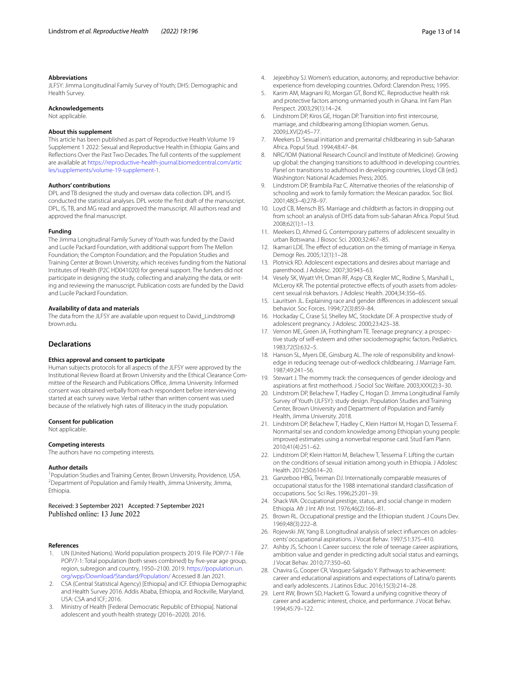#### **Abbreviations**

JLFSY: Jimma Longitudinal Family Survey of Youth; DHS: Demographic and Health Survey.

#### **Acknowledgements**

Not applicable.

#### **About this supplement**

This article has been published as part of Reproductive Health Volume 19 Supplement 1 2022: Sexual and Reproductive Health in Ethiopia: Gains and Refections Over the Past Two Decades. The full contents of the supplement are available at [https://reproductive-health-journal.biomedcentral.com/artic](https://reproductive-health-journal.biomedcentral.com/articles/supplements/volume-19-supplement-1) [les/supplements/volume-19-supplement-1](https://reproductive-health-journal.biomedcentral.com/articles/supplements/volume-19-supplement-1).

#### **Authors' contributions**

DPL and TB designed the study and oversaw data collection. DPL and IS conducted the statistical analyses. DPL wrote the frst draft of the manuscript. DPL, IS, TB, and MG read and approved the manuscript. All authors read and approved the fnal manuscript.

#### **Funding**

The Jimma Longitudinal Family Survey of Youth was funded by the David and Lucile Packard Foundation, with additional support from The Mellon Foundation; the Compton Foundation; and the Population Studies and Training Center at Brown University, which receives funding from the National Institutes of Health (P2C HD041020) for general support. The funders did not participate in designing the study, collecting and analyzing the data, or writing and reviewing the manuscript. Publication costs are funded by the David and Lucile Packard Foundation.

#### **Availability of data and materials**

The data from the JLFSY are available upon request to David\_Lindstrom@ brown.edu.

#### **Declarations**

#### **Ethics approval and consent to participate**

Human subjects protocols for all aspects of the JLFSY were approved by the Institutional Review Board at Brown University and the Ethical Clearance Committee of the Research and Publications Office, Jimma University. Informed consent was obtained verbally from each respondent before interviewing started at each survey wave. Verbal rather than written consent was used because of the relatively high rates of illiteracy in the study population.

#### **Consent for publication**

Not applicable.

#### **Competing interests**

The authors have no competing interests.

#### **Author details**

<sup>1</sup> Population Studies and Training Center, Brown University, Providence, USA.<br><sup>2</sup> Department of Population and Eamily Hoalth, Jimma University, Jimma. Department of Population and Family Health, Jimma University, Jimma, Ethiopia.

Received: 3 September 2021 Accepted: 7 September 2021 Published online: 13 June 2022

#### **References**

- <span id="page-12-0"></span>1. UN (United Nations). World population prospects 2019. File POP/7-1 File POP/7-1: Total population (both sexes combined) by five-year age group, region, subregion and country, 1950–2100. 2019. [https://population.un.](https://population.un.org/wpp/Download/Standard/Population/) [org/wpp/Download/Standard/Population/](https://population.un.org/wpp/Download/Standard/Population/) Accessed 8 Jan 2021.
- <span id="page-12-1"></span>2. CSA (Central Statistical Agency) [Ethiopia] and ICF. Ethiopia Demographic and Health Survey 2016. Addis Ababa, Ethiopia, and Rockville, Maryland, USA: CSA and ICF; 2016.
- <span id="page-12-2"></span>3. Ministry of Health [Federal Democratic Republic of Ethiopia]. National adolescent and youth health strategy (2016–2020). 2016.
- <span id="page-12-3"></span>4. Jejeebhoy SJ. Women's education, autonomy, and reproductive behavior: experience from developing countries. Oxford: Clarendon Press; 1995.
- <span id="page-12-24"></span>5. Karim AM, Magnani RJ, Morgan GT, Bond KC. Reproductive health risk and protective factors among unmarried youth in Ghana. Int Fam Plan Perspect. 2003;29(1):14–24.
- <span id="page-12-23"></span>6. Lindstrom DP, Kiros GE, Hogan DP. Transition into frst intercourse, marriage, and childbearing among Ethiopian women. Genus. 2009;LXV(2):45–77.
- 7. Meekers D. Sexual initiation and premarital childbearing in sub-Saharan Africa. Popul Stud. 1994;48:47–84.
- <span id="page-12-4"></span>8. NRC/IOM (National Research Council and Institute of Medicine). Growing up global: the changing transitions to adulthood in developing countries. Panel on transitions to adulthood in developing countries, Lloyd CB (ed.). Washington: National Academies Press; 2005.
- <span id="page-12-5"></span>9. Lindstrom DP, Brambila Paz C. Alternative theories of the relationship of schooling and work to family formation: the Mexican paradox. Soc Biol. 2001;48(3–4):278–97.
- <span id="page-12-6"></span>10. Loyd CB, Mensch BS. Marriage and childbirth as factors in dropping out from school: an analysis of DHS data from sub-Saharan Africa. Popul Stud. 2008;62(1):1–13.
- <span id="page-12-7"></span>11. Meekers D, Ahmed G. Contemporary patterns of adolescent sexuality in urban Botswana. J Biosoc Sci. 2000;32:467–85.
- <span id="page-12-8"></span>12. Ikamari LDE. The effect of education on the timing of marriage in Kenya. Demogr Res. 2005;12(1):1–28.
- <span id="page-12-9"></span>13. Plotnick RD. Adolescent expectations and desires about marriage and parenthood. J Adolesc. 2007;30:943–63.
- <span id="page-12-10"></span>14. Vesely SK, Wyatt VH, Oman RF, Aspy CB, Kegler MC, Rodine S, Marshall L, McLeroy KR. The potential protective effects of youth assets from adolescent sexual risk behaviors. J Adolesc Health. 2004;34:356–65.
- <span id="page-12-11"></span>15. Lauritsen JL. Explaining race and gender diferences in adolescent sexual behavior. Soc Forces. 1994;72(3):859–84.
- <span id="page-12-12"></span>16. Hockaday C, Crase SJ, Shelley MC, Stockdate DF. A prospective study of adolescent pregnancy. J Adolesc. 2000;23:423–38.
- <span id="page-12-13"></span>17. Vernon ME, Green JA, Frothingham TE. Teenage pregnancy: a prospective study of self-esteem and other sociodemographic factors. Pediatrics. 1983;72(5):632–5.
- <span id="page-12-14"></span>18. Hanson SL, Myers DE, Ginsburg AL. The role of responsibility and knowledge in reducing teenage out-of-wedlock childbearing. J Marriage Fam. 1987;49:241–56.
- <span id="page-12-15"></span>19. Stewart J. The mommy track: the consequences of gender ideology and aspirations at frst motherhood. J Sociol Soc Welfare. 2003;XXX(2):3–30.
- <span id="page-12-16"></span>20. Lindstrom DP, Belachew T, Hadley C, Hogan D. Jimma Longitudinal Family Survey of Youth (JLFSY): study design. Population Studies and Training Center, Brown University and Department of Population and Family Health, Jimma University. 2018.
- <span id="page-12-17"></span>21. Lindstrom DP, Belachew T, Hadley C, Klein Hattori M, Hogan D, Tessema F. Nonmarital sex and condom knowledge among Ethiopian young people: improved estimates using a nonverbal response card. Stud Fam Plann. 2010;41(4):251–62.
- <span id="page-12-18"></span>22. Lindstrom DP, Klein Hattori M, Belachew T, Tessema F. Lifting the curtain on the conditions of sexual initiation among youth in Ethiopia. J Adolesc Health. 2012;50:614–20.
- <span id="page-12-19"></span>23. Ganzeboo HBG, Treiman DJ. Internationally comparable measures of occupational status for the 1988 international standard classifcation of occupations. Soc Sci Res. 1996;25:201–39.
- <span id="page-12-25"></span>24. Shack WA. Occupational prestige, status, and social change in modern Ethiopia. Afr J Int Afr Inst. 1976;46(2):166–81.
- <span id="page-12-26"></span>25. Brown RL. Occupational prestige and the Ethiopian student. J Couns Dev. 1969;48(3):222–8.
- <span id="page-12-20"></span>26. Rojewski JW, Yang B. Longitudinal analysis of select infuences on adolescents' occupational aspirations. J Vocat Behav. 1997;51:375–410.
- <span id="page-12-21"></span>27. Ashby JS, Schoon I. Career success: the role of teenage career aspirations, ambition value and gender in predicting adult social status and earnings. J Vocat Behav. 2010;77:350–60.
- 28. Chavira G, Cooper CR, Vasquez-Salgado Y. Pathways to achievement: career and educational aspirations and expectations of Latina/o parents and early adolescents. J Latinos Educ. 2016;15(3):214–28.
- <span id="page-12-22"></span>29. Lent RW, Brown SD, Hackett G. Toward a unifying cognitive theory of career and academic interest, choice, and performance. J Vocat Behav. 1994;45:79–122.